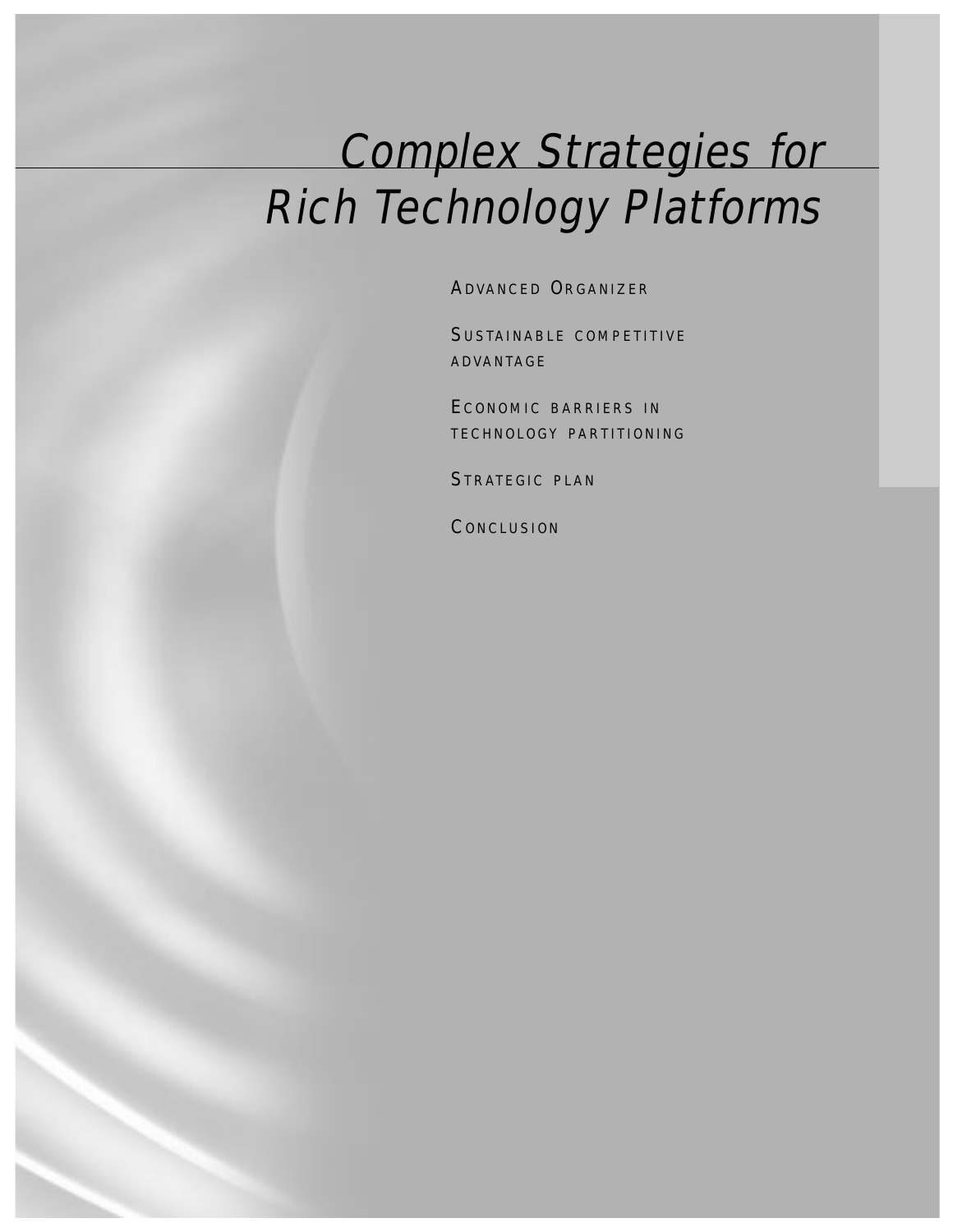# Complex Strategies for Rich Technology Platforms

ADVANCED ORGANIZER

SUSTAINABLE COMPETITIVE ADVANTAGE

ECONOMIC BARRIERS IN TECHNOLOGY PARTITIONING

STRATEGIC PLAN

**CONCLUSION**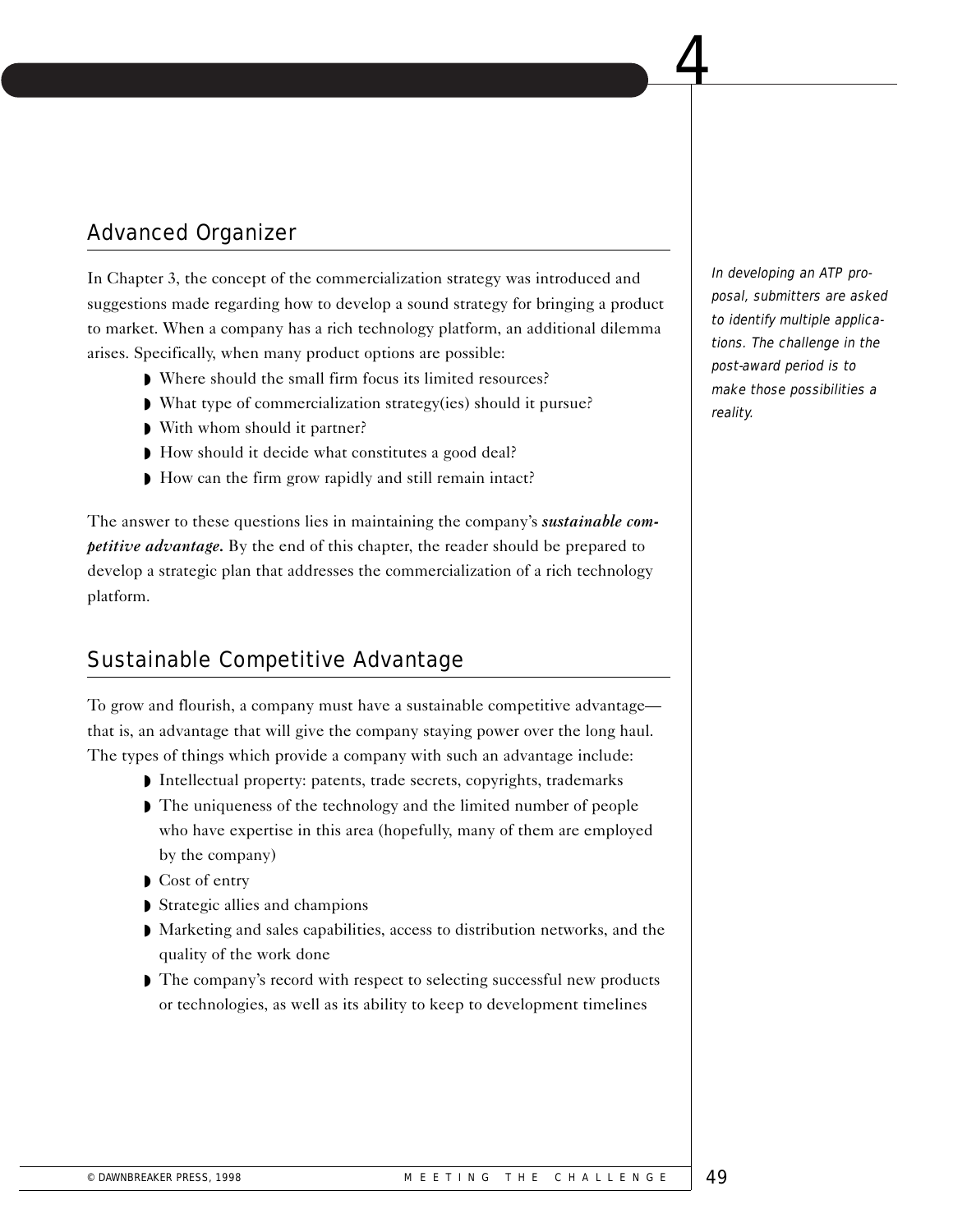# Advanced Organizer

In Chapter 3, the concept of the commercialization strategy was introduced and suggestions made regarding how to develop a sound strategy for bringing a product to market. When a company has a rich technology platform, an additional dilemma arises. Specifically, when many product options are possible:

 $\begin{array}{|c|c|c|c|c|}\hline \textbf{C} & \textbf{A} & \textbf{A} \end{array}$ 

- ◗ Where should the small firm focus its limited resources?
- ◗ What type of commercialization strategy(ies) should it pursue?
- With whom should it partner?
- ◗ How should it decide what constitutes a good deal?
- ◗ How can the firm grow rapidly and still remain intact?

The answer to these questions lies in maintaining the company's *sustainable competitive advantage.* By the end of this chapter, the reader should be prepared to develop a strategic plan that addresses the commercialization of a rich technology platform.

# Sustainable Competitive Advantage

To grow and flourish, a company must have a sustainable competitive advantage that is, an advantage that will give the company staying power over the long haul. The types of things which provide a company with such an advantage include:

- ◗ Intellectual property: patents, trade secrets, copyrights, trademarks
- The uniqueness of the technology and the limited number of people who have expertise in this area (hopefully, many of them are employed by the company)
- ◗ Cost of entry
- ◗ Strategic allies and champions
- ◗ Marketing and sales capabilities, access to distribution networks, and the quality of the work done
- ◗ The company's record with respect to selecting successful new products or technologies, as well as its ability to keep to development timelines

In developing an ATP proposal, submitters are asked to identify multiple applications. The challenge in the post-award period is to make those possibilities a reality.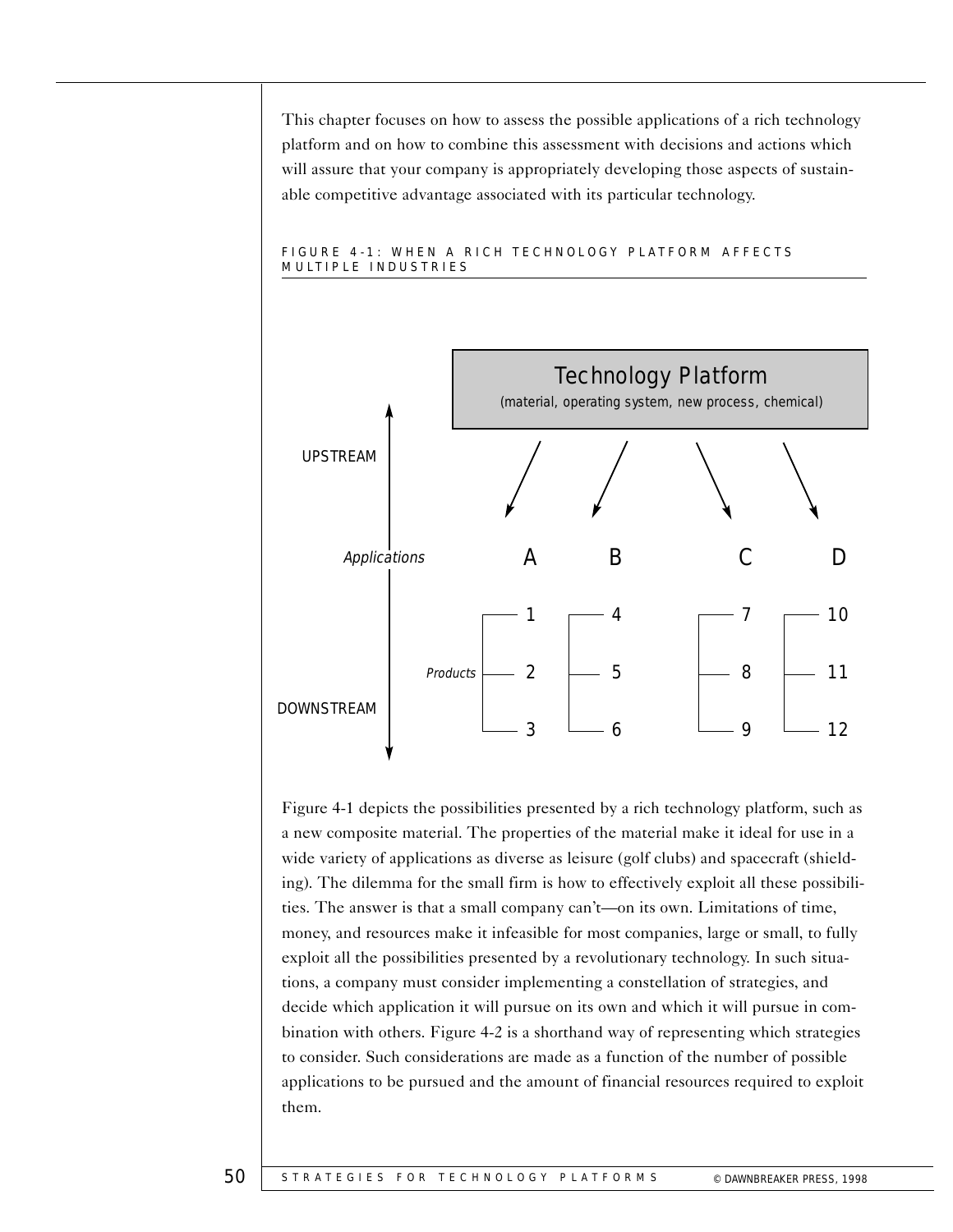This chapter focuses on how to assess the possible applications of a rich technology platform and on how to combine this assessment with decisions and actions which will assure that your company is appropriately developing those aspects of sustainable competitive advantage associated with its particular technology.



#### FIGURE 4-1: WHEN A RICH TECHNOLOGY PLATFORM AFFECTS MULTIPLE INDUSTRIES

Figure 4-1 depicts the possibilities presented by a rich technology platform, such as a new composite material. The properties of the material make it ideal for use in a wide variety of applications as diverse as leisure (golf clubs) and spacecraft (shielding). The dilemma for the small firm is how to effectively exploit all these possibilities. The answer is that a small company can't—on its own. Limitations of time, money, and resources make it infeasible for most companies, large or small, to fully exploit all the possibilities presented by a revolutionary technology. In such situations, a company must consider implementing a constellation of strategies, and decide which application it will pursue on its own and which it will pursue in combination with others. Figure 4-2 is a shorthand way of representing which strategies to consider. Such considerations are made as a function of the number of possible applications to be pursued and the amount of financial resources required to exploit them.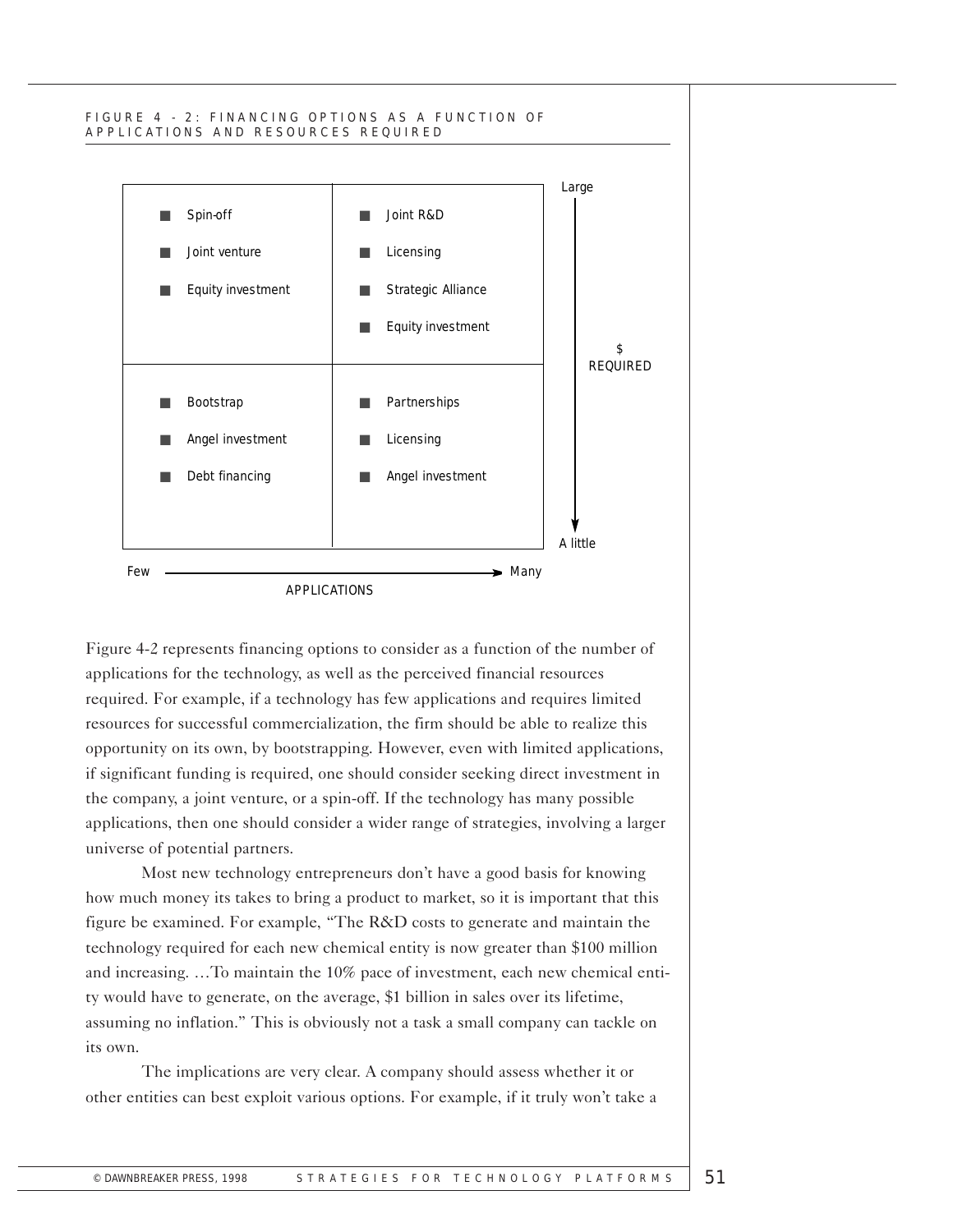#### FIGURE 4 - 2: FINANCING OPTIONS AS A FUNCTION OF APPLICATIONS AND RESOURCES REQUIRED



Figure 4-2 represents financing options to consider as a function of the number of applications for the technology, as well as the perceived financial resources required. For example, if a technology has few applications and requires limited resources for successful commercialization, the firm should be able to realize this opportunity on its own, by bootstrapping. However, even with limited applications, if significant funding is required, one should consider seeking direct investment in the company, a joint venture, or a spin-off. If the technology has many possible applications, then one should consider a wider range of strategies, involving a larger universe of potential partners.

Most new technology entrepreneurs don't have a good basis for knowing how much money its takes to bring a product to market, so it is important that this figure be examined. For example, "The R&D costs to generate and maintain the technology required for each new chemical entity is now greater than \$100 million and increasing. …To maintain the 10% pace of investment, each new chemical entity would have to generate, on the average, \$1 billion in sales over its lifetime, assuming no inflation." This is obviously not a task a small company can tackle on its own.

The implications are very clear. A company should assess whether it or other entities can best exploit various options. For example, if it truly won't take a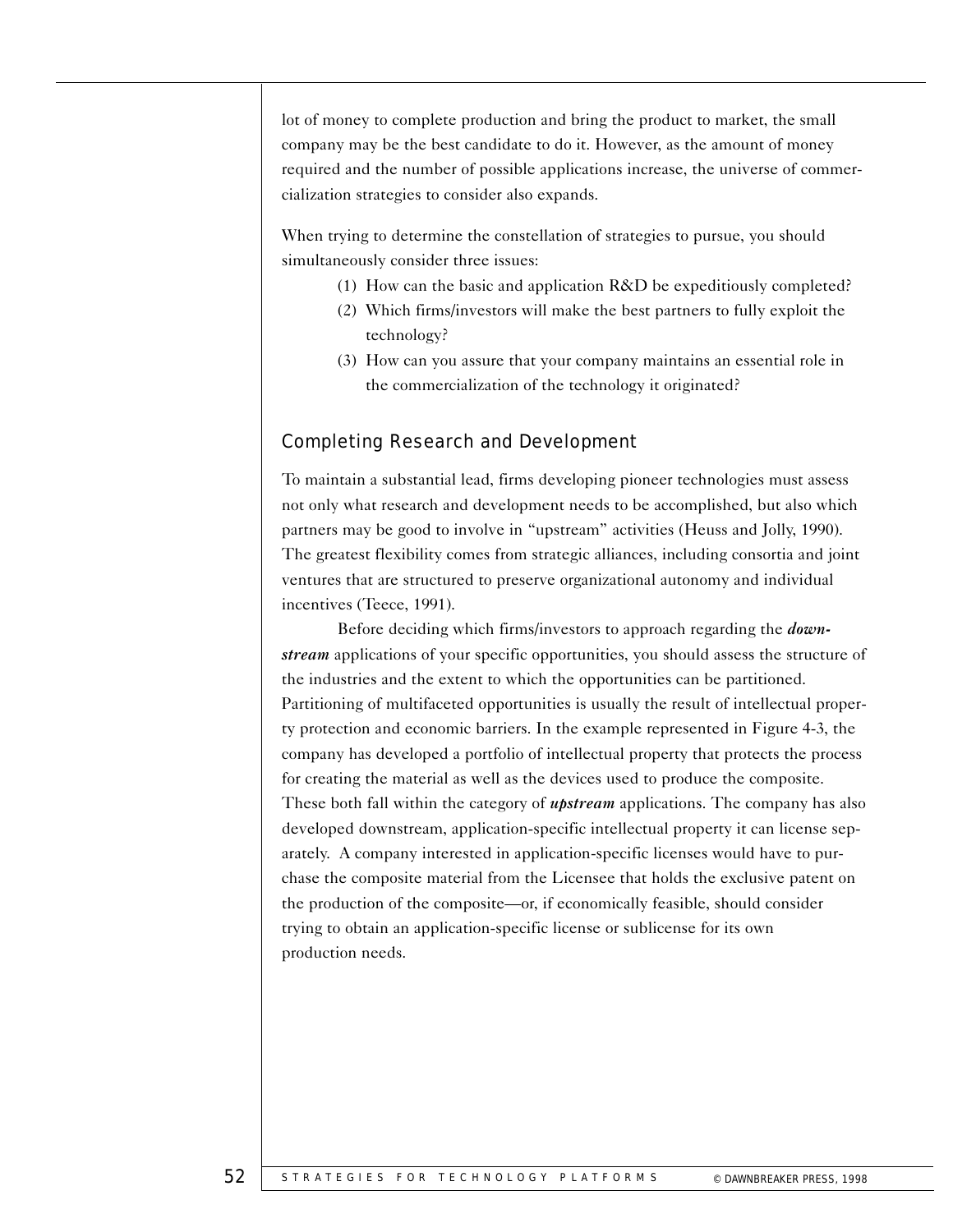lot of money to complete production and bring the product to market, the small company may be the best candidate to do it. However, as the amount of money required and the number of possible applications increase, the universe of commercialization strategies to consider also expands.

When trying to determine the constellation of strategies to pursue, you should simultaneously consider three issues:

- (1) How can the basic and application  $R&D$  be expeditiously completed?
- (2) Which firms/investors will make the best partners to fully exploit the technology?
- (3) How can you assure that your company maintains an essential role in the commercialization of the technology it originated?

# Completing Research and Development

To maintain a substantial lead, firms developing pioneer technologies must assess not only what research and development needs to be accomplished, but also which partners may be good to involve in "upstream" activities (Heuss and Jolly, 1990). The greatest flexibility comes from strategic alliances, including consortia and joint ventures that are structured to preserve organizational autonomy and individual incentives (Teece, 1991).

Before deciding which firms/investors to approach regarding the *downstream* applications of your specific opportunities, you should assess the structure of the industries and the extent to which the opportunities can be partitioned. Partitioning of multifaceted opportunities is usually the result of intellectual property protection and economic barriers. In the example represented in Figure 4-3, the company has developed a portfolio of intellectual property that protects the process for creating the material as well as the devices used to produce the composite. These both fall within the category of *upstream* applications. The company has also developed downstream, application-specific intellectual property it can license separately. A company interested in application-specific licenses would have to purchase the composite material from the Licensee that holds the exclusive patent on the production of the composite—or, if economically feasible, should consider trying to obtain an application-specific license or sublicense for its own production needs.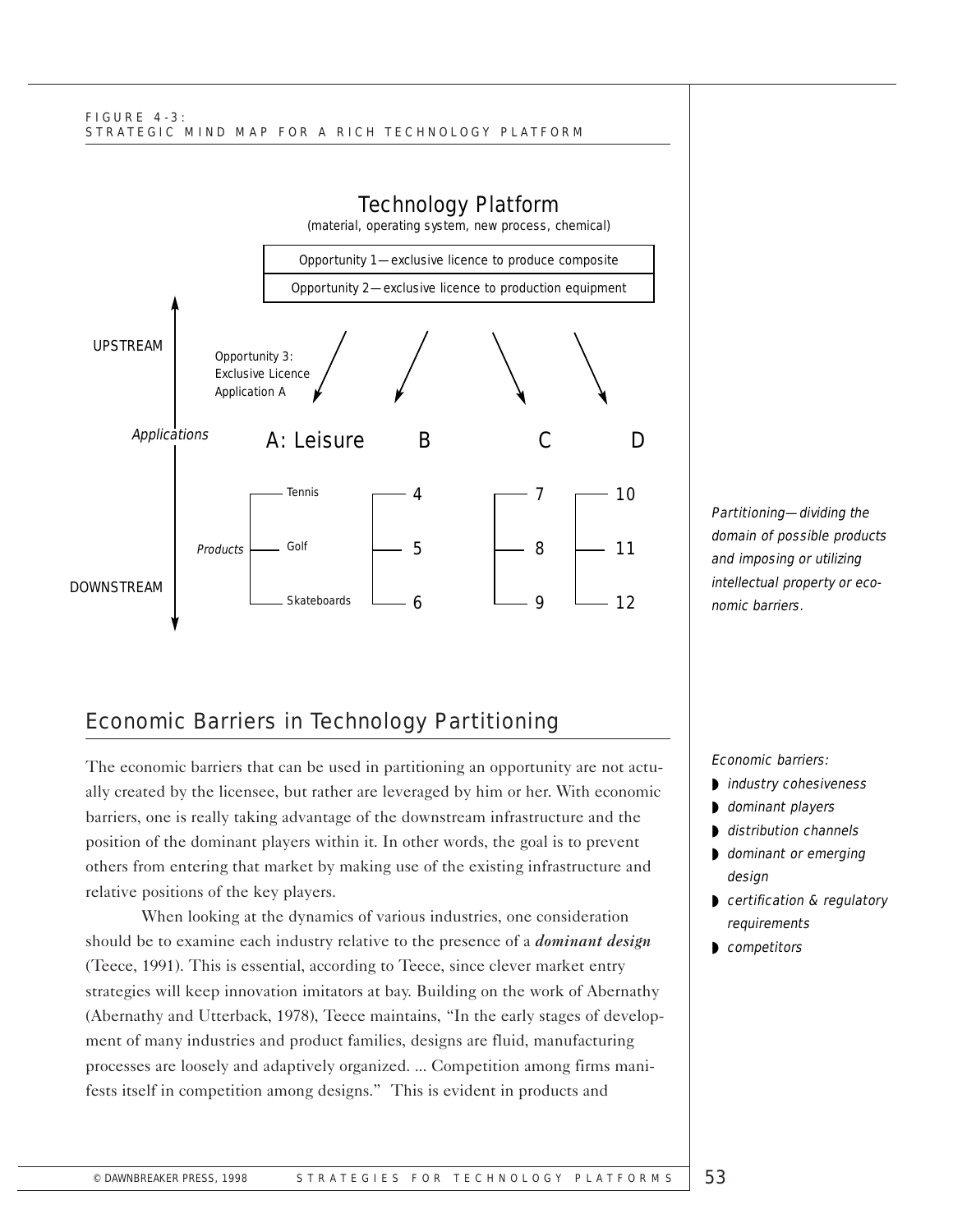#### FIGURE 4-3: STRATEGIC MIND MAP FOR A RICH TECHNOLOGY PLATFORM



# Economic Barriers in Technology Partitioning

The economic barriers that can be used in partitioning an opportunity are not actually created by the licensee, but rather are leveraged by him or her. With economic barriers, one is really taking advantage of the downstream infrastructure and the position of the dominant players within it. In other words, the goal is to prevent others from entering that market by making use of the existing infrastructure and relative positions of the key players.

When looking at the dynamics of various industries, one consideration should be to examine each industry relative to the presence of a *dominant design*  (Teece, 1991). This is essential, according to Teece, since clever market entry strategies will keep innovation imitators at bay. Building on the work of Abernathy (Abernathy and Utterback, 1978), Teece maintains, "In the early stages of development of many industries and product families, designs are fluid, manufacturing processes are loosely and adaptively organized. ... Competition among firms manifests itself in competition among designs." This is evident in products and

Partitioning-dividing the domain of possible products and imposing or utilizing intellectual property or economic barriers.

Economic barriers:

- ◗ industry cohesiveness
- dominant players
- distribution channels
- **▶ dominant or emerging** design
- certification & regulatory requirements
- competitors ◗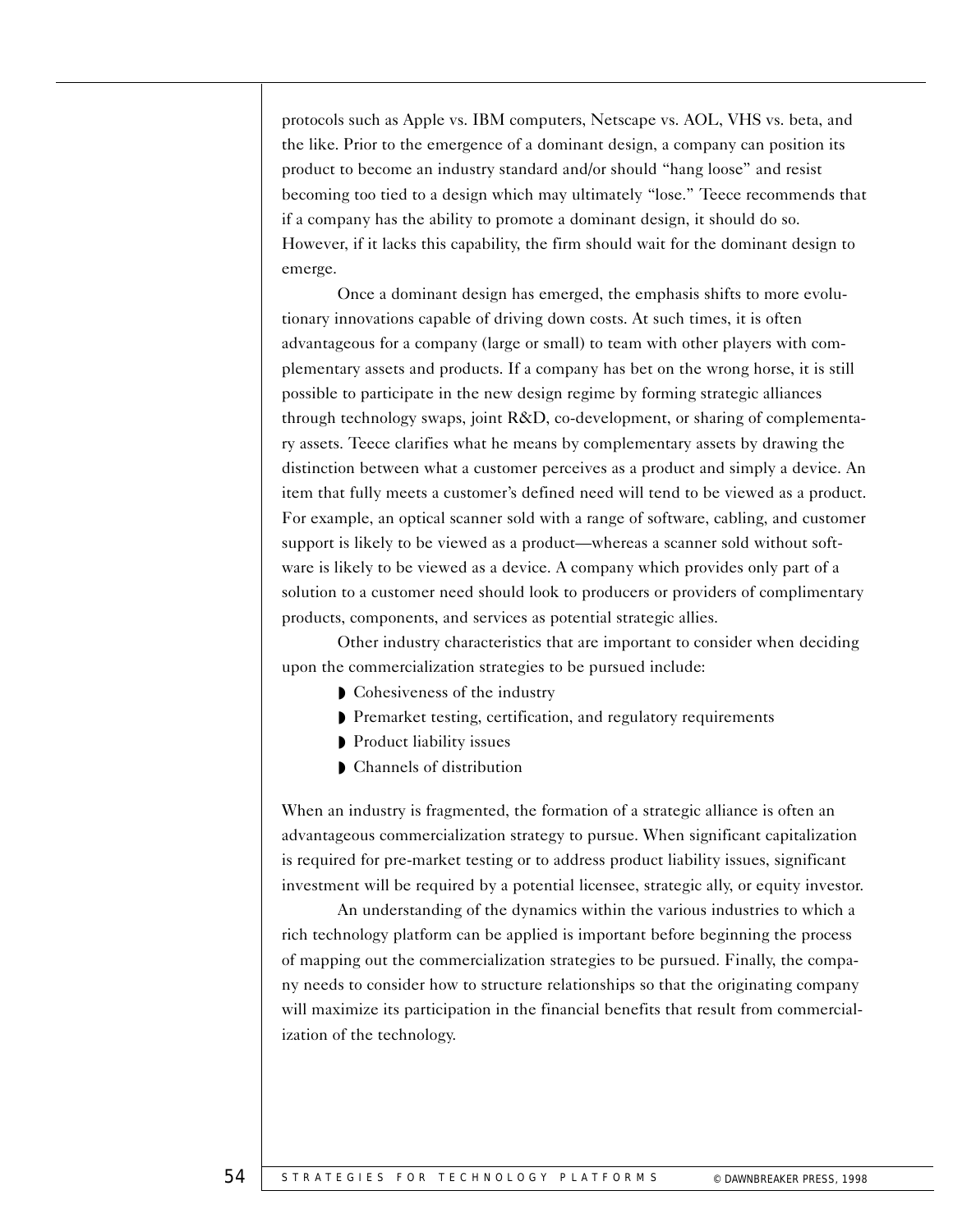protocols such as Apple vs. IBM computers, Netscape vs. AOL, VHS vs. beta, and the like. Prior to the emergence of a dominant design, a company can position its product to become an industry standard and/or should "hang loose" and resist becoming too tied to a design which may ultimately "lose." Teece recommends that if a company has the ability to promote a dominant design, it should do so. However, if it lacks this capability, the firm should wait for the dominant design to emerge.

Once a dominant design has emerged, the emphasis shifts to more evolutionary innovations capable of driving down costs. At such times, it is often advantageous for a company (large or small) to team with other players with complementary assets and products. If a company has bet on the wrong horse, it is still possible to participate in the new design regime by forming strategic alliances through technology swaps, joint R&D, co-development, or sharing of complementary assets. Teece clarifies what he means by complementary assets by drawing the distinction between what a customer perceives as a product and simply a device. An item that fully meets a customer's defined need will tend to be viewed as a product. For example, an optical scanner sold with a range of software, cabling, and customer support is likely to be viewed as a product—whereas a scanner sold without software is likely to be viewed as a device. A company which provides only part of a solution to a customer need should look to producers or providers of complimentary products, components, and services as potential strategic allies.

Other industry characteristics that are important to consider when deciding upon the commercialization strategies to be pursued include:

- Cohesiveness of the industry
- ◗ Premarket testing, certification, and regulatory requirements
- ◗ Product liability issues
- ◗ Channels of distribution

When an industry is fragmented, the formation of a strategic alliance is often an advantageous commercialization strategy to pursue. When significant capitalization is required for pre-market testing or to address product liability issues, significant investment will be required by a potential licensee, strategic ally, or equity investor.

An understanding of the dynamics within the various industries to which a rich technology platform can be applied is important before beginning the process of mapping out the commercialization strategies to be pursued. Finally, the company needs to consider how to structure relationships so that the originating company will maximize its participation in the financial benefits that result from commercialization of the technology.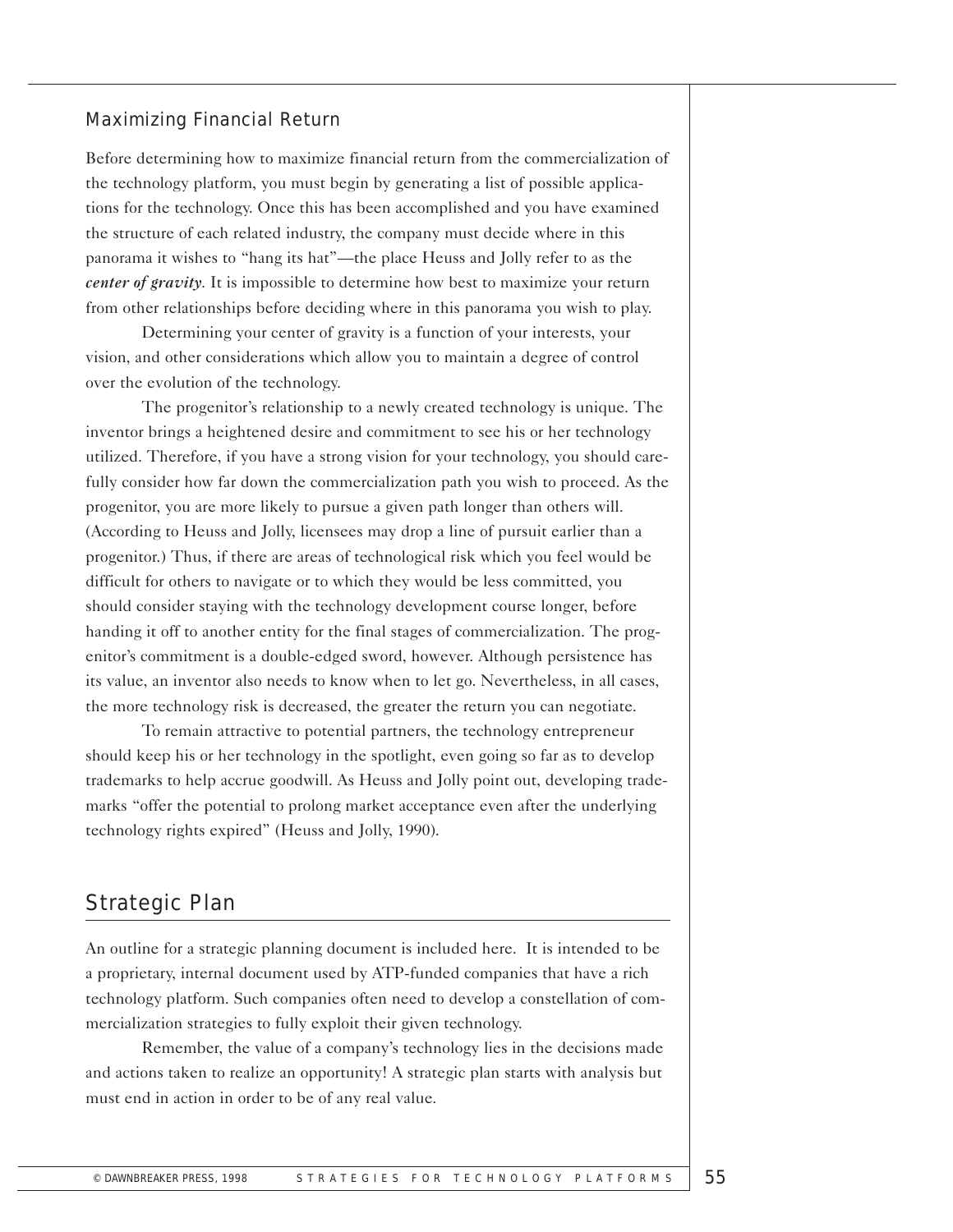#### Maximizing Financial Return

Before determining how to maximize financial return from the commercialization of the technology platform, you must begin by generating a list of possible applications for the technology. Once this has been accomplished and you have examined the structure of each related industry, the company must decide where in this panorama it wishes to "hang its hat"—the place Heuss and Jolly refer to as the *center of gravity*. It is impossible to determine how best to maximize your return from other relationships before deciding where in this panorama you wish to play.

Determining your center of gravity is a function of your interests, your vision, and other considerations which allow you to maintain a degree of control over the evolution of the technology.

The progenitor's relationship to a newly created technology is unique. The inventor brings a heightened desire and commitment to see his or her technology utilized. Therefore, if you have a strong vision for your technology, you should carefully consider how far down the commercialization path you wish to proceed. As the progenitor, you are more likely to pursue a given path longer than others will. (According to Heuss and Jolly, licensees may drop a line of pursuit earlier than a progenitor.) Thus, if there are areas of technological risk which you feel would be difficult for others to navigate or to which they would be less committed, you should consider staying with the technology development course longer, before handing it off to another entity for the final stages of commercialization. The progenitor's commitment is a double-edged sword, however. Although persistence has its value, an inventor also needs to know when to let go. Nevertheless, in all cases, the more technology risk is decreased, the greater the return you can negotiate.

To remain attractive to potential partners, the technology entrepreneur should keep his or her technology in the spotlight, even going so far as to develop trademarks to help accrue goodwill. As Heuss and Jolly point out, developing trademarks "offer the potential to prolong market acceptance even after the underlying technology rights expired" (Heuss and Jolly, 1990).

# Strategic Plan

An outline for a strategic planning document is included here. It is intended to be a proprietary, internal document used by ATP-funded companies that have a rich technology platform. Such companies often need to develop a constellation of commercialization strategies to fully exploit their given technology.

Remember, the value of a company's technology lies in the decisions made and actions taken to realize an opportunity! A strategic plan starts with analysis but must end in action in order to be of any real value.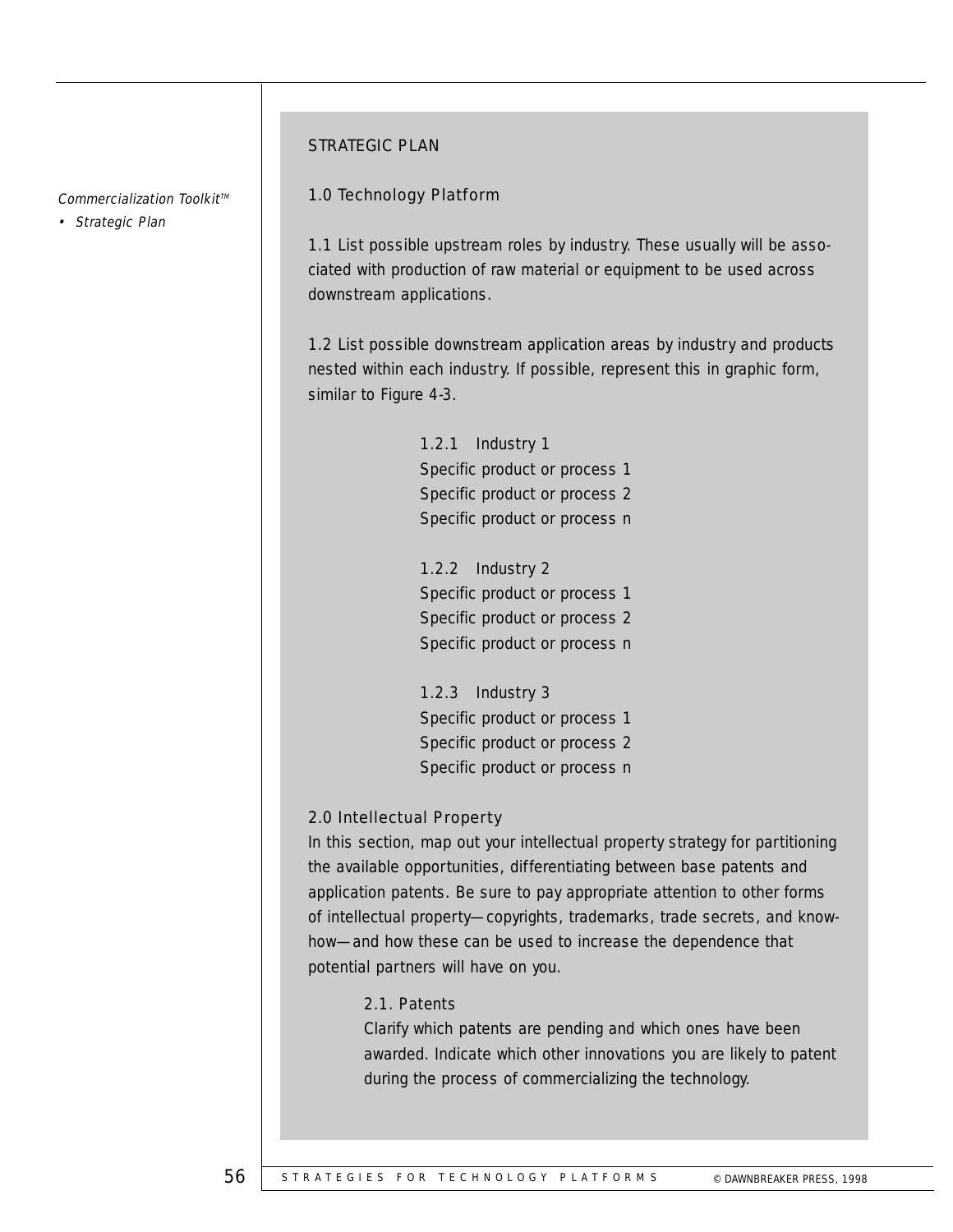#### Commercialization Toolkit<sup>™</sup>

• Strategic Plan

#### STRATEGIC PLAN

#### 1.0 Technology Platform

1.1 List possible upstream roles by industry. These usually will be associated with production of raw material or equipment to be used across downstream applications.

1.2 List possible downstream application areas by industry and products nested within each industry. If possible, represent this in graphic form, similar to Figure 4-3.

> 1.2.1 Industry 1 Specific product or process 1 Specific product or process 2 Specific product or process n

> 1.2.2 Industry 2 Specific product or process 1 Specific product or process 2 Specific product or process n

> 1.2.3 Industry 3 Specific product or process 1 Specific product or process 2 Specific product or process n

## 2.0 Intellectual Property

In this section, map out your intellectual property strategy for partitioning the available opportunities, differentiating between base patents and application patents. Be sure to pay appropriate attention to other forms of intellectual property—copyrights, trademarks, trade secrets, and knowhow—and how these can be used to increase the dependence that potential partners will have on you.

## 2.1. Patents

Clarify which patents are pending and which ones have been awarded. Indicate which other innovations you are likely to patent during the process of commercializing the technology.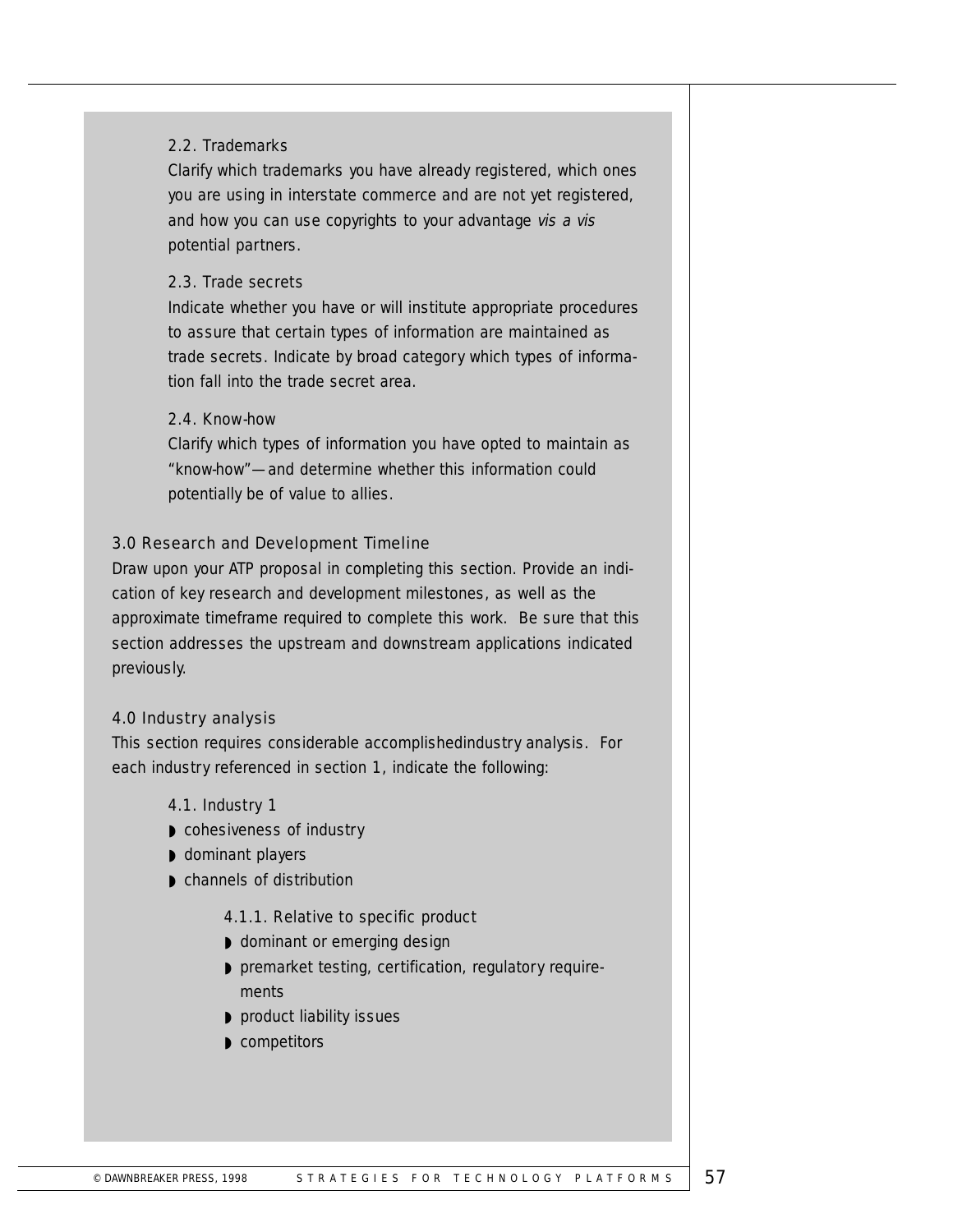## 2.2. Trademarks

Clarify which trademarks you have already registered, which ones you are using in interstate commerce and are not yet registered, and how you can use copyrights to your advantage vis a vis potential partners.

#### 2.3. Trade secrets

Indicate whether you have or will institute appropriate procedures to assure that certain types of information are maintained as trade secrets. Indicate by broad category which types of information fall into the trade secret area.

#### 2.4. Know-how

Clarify which types of information you have opted to maintain as "know-how"—and determine whether this information could potentially be of value to allies.

## 3.0 Research and Development Timeline

Draw upon your ATP proposal in completing this section. Provide an indication of key research and development milestones, as well as the approximate timeframe required to complete this work. Be sure that this section addresses the upstream and downstream applications indicated previously.

## 4.0 Industry analysis

This section requires considerable accomplishedindustry analysis. For each industry referenced in section 1, indicate the following:

#### 4.1. Industry 1

- ◗ cohesiveness of industry
- ◗ dominant players
- channels of distribution

## 4.1.1. Relative to specific product

- dominant or emerging design
- premarket testing, certification, regulatory requirements
- product liability issues
- ◗ competitors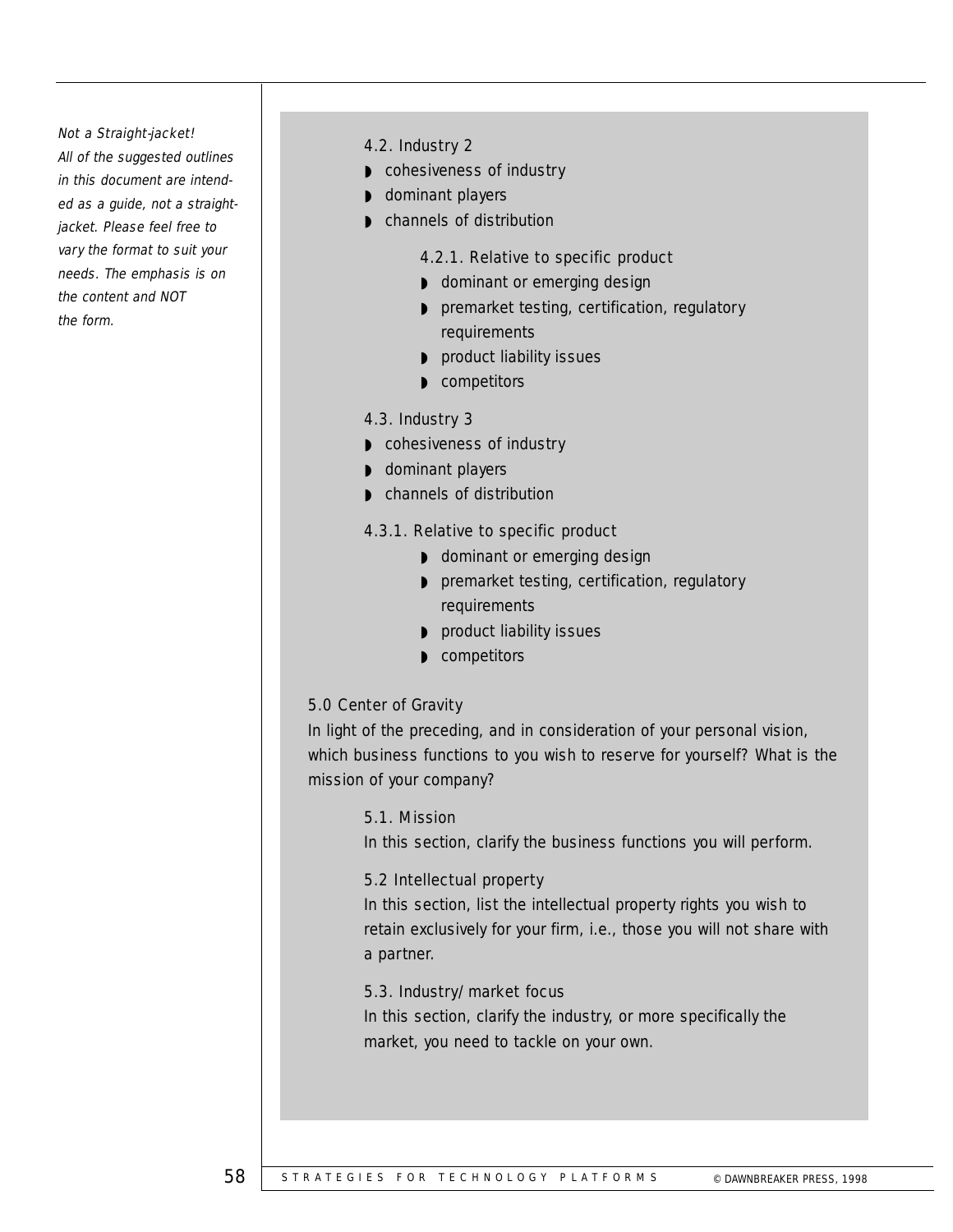#### Not a Straight-jacket!

All of the suggested outlines in this document are intended as a guide, not a straightjacket. Please feel free to vary the format to suit your needs. The emphasis is on the content and NOT the form.

#### 4.2. Industry 2

- cohesiveness of industry
- dominant players
- channels of distribution

#### 4.2.1. Relative to specific product

- dominant or emerging design
- ◗ premarket testing, certification, regulatory requirements
- product liability issues
- ◗ competitors

#### 4.3. Industry 3

- cohesiveness of industry
- ◗ dominant players
- ◗ channels of distribution

#### 4.3.1. Relative to specific product

- dominant or emerging design
- ◗ premarket testing, certification, regulatory requirements
- product liability issues
- ◗ competitors

#### 5.0 Center of Gravity

In light of the preceding, and in consideration of your personal vision, which business functions to you wish to reserve for yourself? What is the mission of your company?

#### 5.1. Mission

In this section, clarify the business functions you will perform.

#### 5.2 Intellectual property

In this section, list the intellectual property rights you wish to retain exclusively for your firm, i.e., those you will not share with a partner.

#### 5.3. Industry/market focus

In this section, clarify the industry, or more specifically the market, you need to tackle on your own.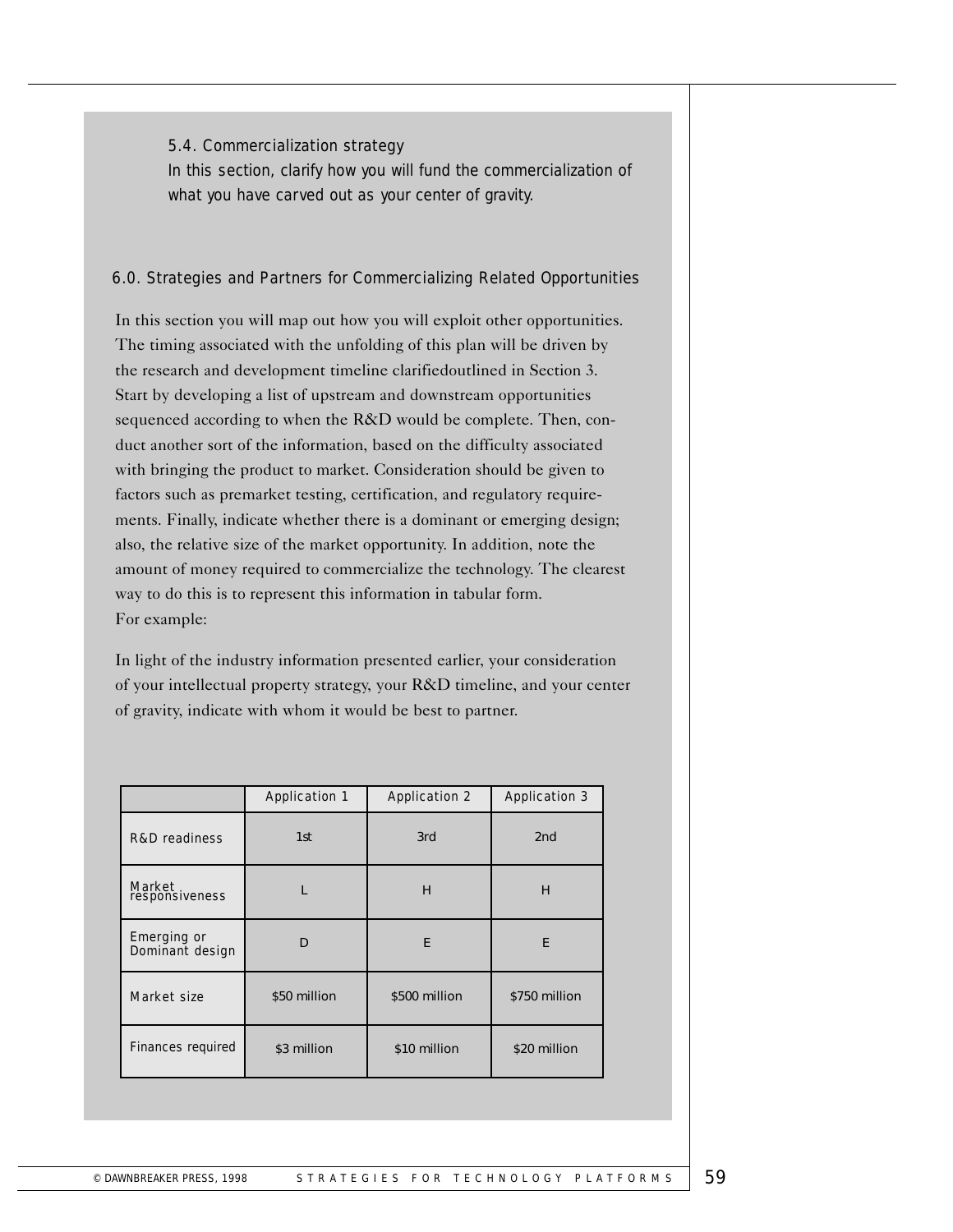#### 5.4. Commercialization strategy

In this section, clarify how you will fund the commercialization of what you have carved out as your center of gravity.

## 6.0. Strategies and Partners for Commercializing Related Opportunities

In this section you will map out how you will exploit other opportunities. The timing associated with the unfolding of this plan will be driven by the research and development timeline clarifiedoutlined in Section 3. Start by developing a list of upstream and downstream opportunities sequenced according to when the R&D would be complete. Then, conduct another sort of the information, based on the difficulty associated with bringing the product to market. Consideration should be given to factors such as premarket testing, certification, and regulatory requirements. Finally, indicate whether there is a dominant or emerging design; also, the relative size of the market opportunity. In addition, note the amount of money required to commercialize the technology. The clearest way to do this is to represent this information in tabular form. For example:

In light of the industry information presented earlier, your consideration of your intellectual property strategy, your R&D timeline, and your center of gravity, indicate with whom it would be best to partner.

|                                       | <b>Application 1</b> | <b>Application 2</b> | <b>Application 3</b> |
|---------------------------------------|----------------------|----------------------|----------------------|
| <b>R&amp;D</b> readiness              | 1st                  | 3rd                  | 2nd                  |
| Market<br>responsiveness              |                      | H                    | н                    |
| <b>Emerging or</b><br>Dominant design | D                    | E                    | E                    |
| Market size                           | \$50 million         | \$500 million        | \$750 million        |
| <b>Finances required</b>              | \$3 million          | \$10 million         | \$20 million         |